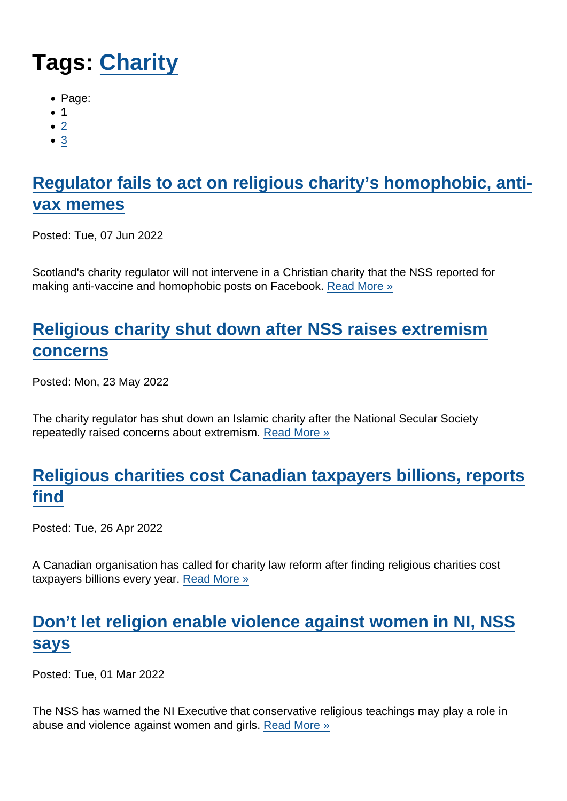# Tags: [Charity](https://www.secularism.org.uk/news/tags/Charity)

- Page:
- 1
- $\bullet$  [2](/mnt/web-data/www/cp-nss/news/tags/Charity)
- [3](/mnt/web-data/www/cp-nss/news/tags/Charity)

# [Regulator fails to act on religious charity's homophobic, anti](https://www.secularism.org.uk/news/2022/06/regulator-fails-to-act-on-religious-charitys-homophobic-anti-vax-memes)[vax memes](https://www.secularism.org.uk/news/2022/06/regulator-fails-to-act-on-religious-charitys-homophobic-anti-vax-memes)

Posted: Tue, 07 Jun 2022

Scotland's charity regulator will not intervene in a Christian charity that the NSS reported for making anti-vaccine and homophobic posts on Facebook. [Read More »](https://www.secularism.org.uk/news/2022/06/regulator-fails-to-act-on-religious-charitys-homophobic-anti-vax-memes)

## [Religious charity shut down after NSS raises extremism](https://www.secularism.org.uk/news/2022/05/religious-charity-shut-down-after-nss-raises-extremism-concerns) [concerns](https://www.secularism.org.uk/news/2022/05/religious-charity-shut-down-after-nss-raises-extremism-concerns)

Posted: Mon, 23 May 2022

The charity regulator has shut down an Islamic charity after the National Secular Society repeatedly raised concerns about extremism. [Read More »](https://www.secularism.org.uk/news/2022/05/religious-charity-shut-down-after-nss-raises-extremism-concerns)

## [Religious charities cost Canadian taxpayers billions, reports](https://www.secularism.org.uk/news/2022/04/religious-charities-cost-canadian-taxpayers-billions-reports-find) [find](https://www.secularism.org.uk/news/2022/04/religious-charities-cost-canadian-taxpayers-billions-reports-find)

Posted: Tue, 26 Apr 2022

A Canadian organisation has called for charity law reform after finding religious charities cost taxpayers billions every year. [Read More »](https://www.secularism.org.uk/news/2022/04/religious-charities-cost-canadian-taxpayers-billions-reports-find)

# [Don't let religion enable violence against women in NI, NSS](https://www.secularism.org.uk/news/2022/03/dont-let-religion-enable-violence-against-women-in-ni-nss-says) [says](https://www.secularism.org.uk/news/2022/03/dont-let-religion-enable-violence-against-women-in-ni-nss-says)

Posted: Tue, 01 Mar 2022

The NSS has warned the NI Executive that conservative religious teachings may play a role in abuse and violence against women and girls. [Read More »](https://www.secularism.org.uk/news/2022/03/dont-let-religion-enable-violence-against-women-in-ni-nss-says)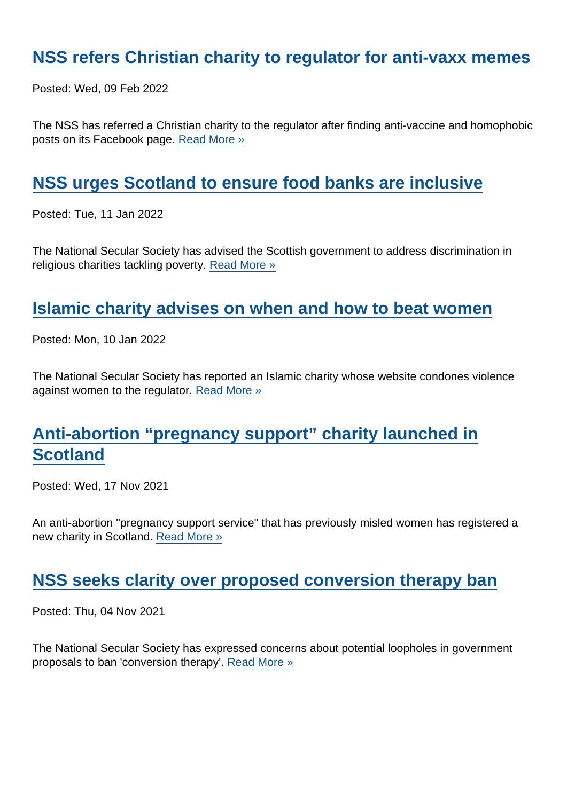## [NSS refers Christian charity to regulator for anti-vaxx memes](https://www.secularism.org.uk/news/2022/02/nss-refers-christian-charity-to-regulator-for-anti-vaxx-memes)

Posted: Wed, 09 Feb 2022

The NSS has referred a Christian charity to the regulator after finding anti-vaccine and homophobic posts on its Facebook page. [Read More »](https://www.secularism.org.uk/news/2022/02/nss-refers-christian-charity-to-regulator-for-anti-vaxx-memes)

#### [NSS urges Scotland to ensure food banks are inclusive](https://www.secularism.org.uk/news/2022/01/nss-urges-scotland-to-ensure-food-banks-are-inclusive)

Posted: Tue, 11 Jan 2022

The National Secular Society has advised the Scottish government to address discrimination in religious charities tackling poverty. [Read More »](https://www.secularism.org.uk/news/2022/01/nss-urges-scotland-to-ensure-food-banks-are-inclusive)

#### [Islamic charity advises on when and how to beat women](https://www.secularism.org.uk/news/2022/01/islamic-charity-advises-on-when-and-how-to-beat-women)

Posted: Mon, 10 Jan 2022

The National Secular Society has reported an Islamic charity whose website condones violence against women to the regulator. [Read More »](https://www.secularism.org.uk/news/2022/01/islamic-charity-advises-on-when-and-how-to-beat-women)

## [Anti-abortion "pregnancy support" charity launched in](https://www.secularism.org.uk/news/2021/11/anti-abortion-pregnancy-support-charity-launched-in-scotland) **[Scotland](https://www.secularism.org.uk/news/2021/11/anti-abortion-pregnancy-support-charity-launched-in-scotland)**

Posted: Wed, 17 Nov 2021

An anti-abortion "pregnancy support service" that has previously misled women has registered a new charity in Scotland. [Read More »](https://www.secularism.org.uk/news/2021/11/anti-abortion-pregnancy-support-charity-launched-in-scotland)

#### [NSS seeks clarity over proposed conversion therapy ban](https://www.secularism.org.uk/news/2021/11/nss-seeks-clarity-over-proposed-conversion-therapy-ban)

Posted: Thu, 04 Nov 2021

The National Secular Society has expressed concerns about potential loopholes in government proposals to ban 'conversion therapy'. [Read More »](https://www.secularism.org.uk/news/2021/11/nss-seeks-clarity-over-proposed-conversion-therapy-ban)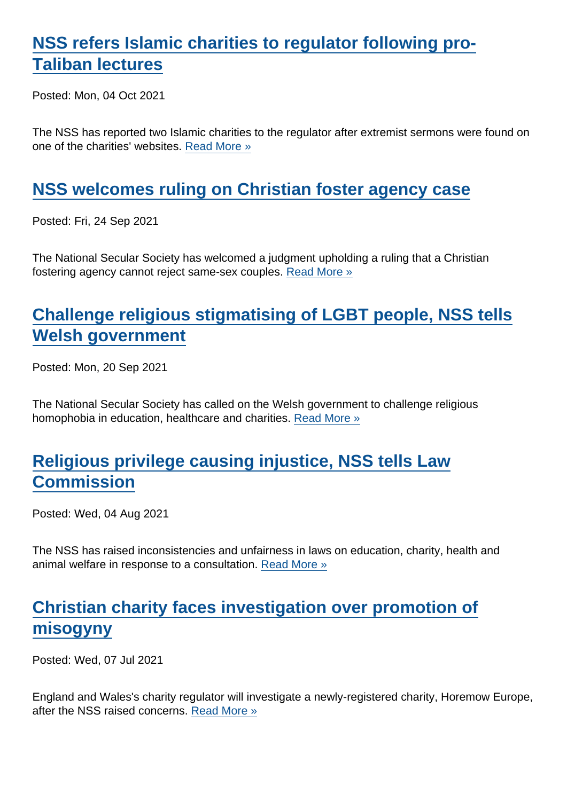## [NSS refers Islamic charities to regulator following pro-](https://www.secularism.org.uk/news/2021/10/nss-refers-islamic-charities-to-regulator-following-pro-taliban-lectures)[Taliban lectures](https://www.secularism.org.uk/news/2021/10/nss-refers-islamic-charities-to-regulator-following-pro-taliban-lectures)

Posted: Mon, 04 Oct 2021

The NSS has reported two Islamic charities to the regulator after extremist sermons were found on one of the charities' websites. [Read More »](https://www.secularism.org.uk/news/2021/10/nss-refers-islamic-charities-to-regulator-following-pro-taliban-lectures)

#### [NSS welcomes ruling on Christian foster agency case](https://www.secularism.org.uk/news/2021/09/nss-welcomes-ruling-on-christian-foster-agency-case)

Posted: Fri, 24 Sep 2021

The National Secular Society has welcomed a judgment upholding a ruling that a Christian fostering agency cannot reject same-sex couples. [Read More »](https://www.secularism.org.uk/news/2021/09/nss-welcomes-ruling-on-christian-foster-agency-case)

## [Challenge religious stigmatising of LGBT people, NSS tells](https://www.secularism.org.uk/news/2021/09/challenge-religious-stigmatising-of-lgbt-people-nss-tells-welsh-government) [Welsh government](https://www.secularism.org.uk/news/2021/09/challenge-religious-stigmatising-of-lgbt-people-nss-tells-welsh-government)

Posted: Mon, 20 Sep 2021

The National Secular Society has called on the Welsh government to challenge religious homophobia in education, healthcare and charities. [Read More »](https://www.secularism.org.uk/news/2021/09/challenge-religious-stigmatising-of-lgbt-people-nss-tells-welsh-government)

## [Religious privilege causing injustice, NSS tells Law](https://www.secularism.org.uk/news/2021/08/religious-privilege-causing-injustice-nss-tells-law-commission) **[Commission](https://www.secularism.org.uk/news/2021/08/religious-privilege-causing-injustice-nss-tells-law-commission)**

Posted: Wed, 04 Aug 2021

The NSS has raised inconsistencies and unfairness in laws on education, charity, health and animal welfare in response to a consultation. [Read More »](https://www.secularism.org.uk/news/2021/08/religious-privilege-causing-injustice-nss-tells-law-commission)

## [Christian charity faces investigation over promotion of](https://www.secularism.org.uk/news/2021/07/christian-charity-faces-investigation-over-promotion-of-misogyny) [misogyny](https://www.secularism.org.uk/news/2021/07/christian-charity-faces-investigation-over-promotion-of-misogyny)

Posted: Wed, 07 Jul 2021

England and Wales's charity regulator will investigate a newly-registered charity, Horemow Europe, after the NSS raised concerns. [Read More »](https://www.secularism.org.uk/news/2021/07/christian-charity-faces-investigation-over-promotion-of-misogyny)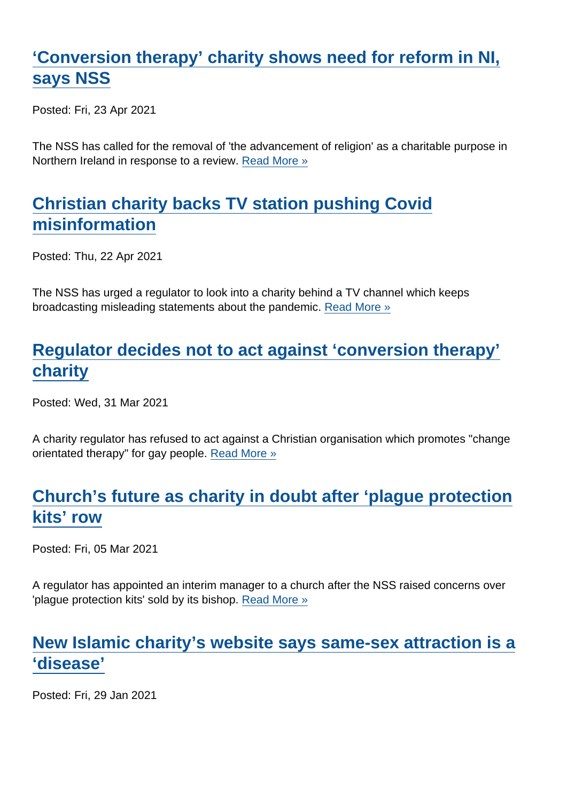## ['Conversion therapy' charity shows need for reform in NI,](https://www.secularism.org.uk/news/2021/04/conversion-therapy-charity-shows-need-for-reform-in-ni-says-nss) [says NSS](https://www.secularism.org.uk/news/2021/04/conversion-therapy-charity-shows-need-for-reform-in-ni-says-nss)

Posted: Fri, 23 Apr 2021

The NSS has called for the removal of 'the advancement of religion' as a charitable purpose in Northern Ireland in response to a review. [Read More »](https://www.secularism.org.uk/news/2021/04/conversion-therapy-charity-shows-need-for-reform-in-ni-says-nss)

## [Christian charity backs TV station pushing Covid](https://www.secularism.org.uk/news/2021/04/christian-charity-backs-tv-station-pushing-covid-misinformation) [misinformation](https://www.secularism.org.uk/news/2021/04/christian-charity-backs-tv-station-pushing-covid-misinformation)

Posted: Thu, 22 Apr 2021

The NSS has urged a regulator to look into a charity behind a TV channel which keeps broadcasting misleading statements about the pandemic. [Read More »](https://www.secularism.org.uk/news/2021/04/christian-charity-backs-tv-station-pushing-covid-misinformation)

## [Regulator decides not to act against 'conversion therapy'](https://www.secularism.org.uk/news/2021/03/regulator-decides-not-to-act-against-conversion-therapy-charity) [charity](https://www.secularism.org.uk/news/2021/03/regulator-decides-not-to-act-against-conversion-therapy-charity)

Posted: Wed, 31 Mar 2021

A charity regulator has refused to act against a Christian organisation which promotes "change orientated therapy" for gay people. [Read More »](https://www.secularism.org.uk/news/2021/03/regulator-decides-not-to-act-against-conversion-therapy-charity)

## [Church's future as charity in doubt after 'plague protection](https://www.secularism.org.uk/news/2021/03/churchs-future-as-charity-in-doubt-after-plague-protection-kits-row) [kits' row](https://www.secularism.org.uk/news/2021/03/churchs-future-as-charity-in-doubt-after-plague-protection-kits-row)

Posted: Fri, 05 Mar 2021

A regulator has appointed an interim manager to a church after the NSS raised concerns over 'plague protection kits' sold by its bishop. [Read More »](https://www.secularism.org.uk/news/2021/03/churchs-future-as-charity-in-doubt-after-plague-protection-kits-row)

#### [New Islamic charity's website says same-sex attraction is a](https://www.secularism.org.uk/news/2021/01/new-islamic-charitys-website-says-same-sex-attraction-is-a-disease) ['disease'](https://www.secularism.org.uk/news/2021/01/new-islamic-charitys-website-says-same-sex-attraction-is-a-disease)

Posted: Fri, 29 Jan 2021